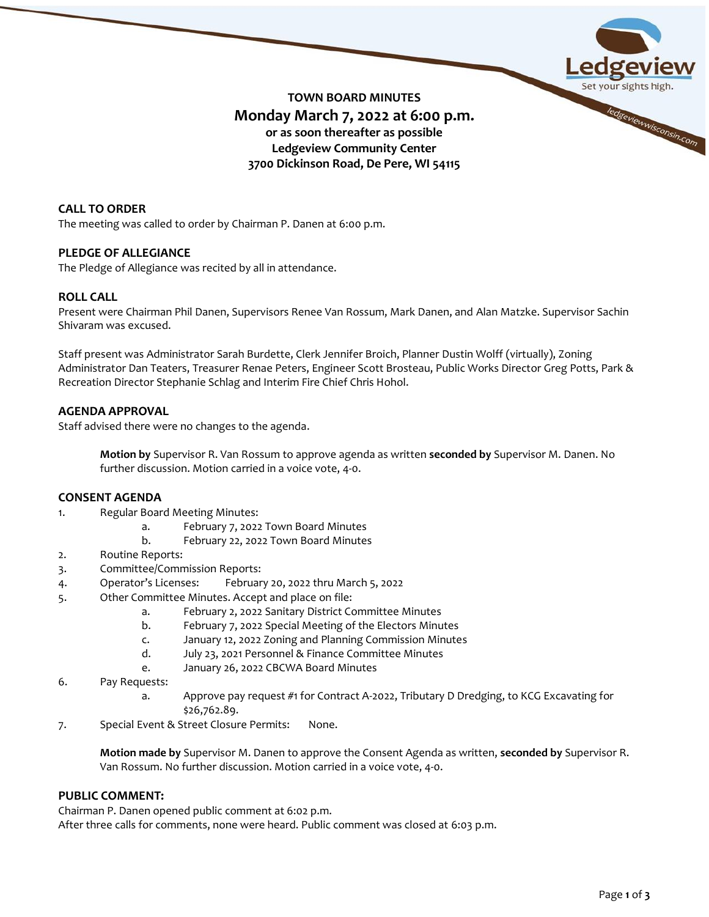

# **CALL TO ORDER**

The meeting was called to order by Chairman P. Danen at 6:00 p.m.

### **PLEDGE OF ALLEGIANCE**

The Pledge of Allegiance was recited by all in attendance.

# **ROLL CALL**

Present were Chairman Phil Danen, Supervisors Renee Van Rossum, Mark Danen, and Alan Matzke. Supervisor Sachin Shivaram was excused.

Staff present was Administrator Sarah Burdette, Clerk Jennifer Broich, Planner Dustin Wolff (virtually), Zoning Administrator Dan Teaters, Treasurer Renae Peters, Engineer Scott Brosteau, Public Works Director Greg Potts, Park & Recreation Director Stephanie Schlag and Interim Fire Chief Chris Hohol.

### **AGENDA APPROVAL**

Staff advised there were no changes to the agenda.

**Motion by** Supervisor R. Van Rossum to approve agenda as written **seconded by** Supervisor M. Danen. No further discussion. Motion carried in a voice vote, 4-0.

# **CONSENT AGENDA**

- 1. Regular Board Meeting Minutes:
	- a. February 7, 2022 Town Board Minutes
	- b. February 22, 2022 Town Board Minutes
- 2. Routine Reports:
- 3. Committee/Commission Reports:
- 4. Operator's Licenses: February 20, 2022 thru March 5, 2022
- 5. Other Committee Minutes. Accept and place on file:
	- a. February 2, 2022 Sanitary District Committee Minutes
	- b. February 7, 2022 Special Meeting of the Electors Minutes
	- c. January 12, 2022 Zoning and Planning Commission Minutes
	- d. July 23, 2021 Personnel & Finance Committee Minutes
	- e. January 26, 2022 CBCWA Board Minutes
- 6. Pay Requests:
	- a. Approve pay request #1 for Contract A-2022, Tributary D Dredging, to KCG Excavating for \$26,762.89.
- 7. Special Event & Street Closure Permits: None.

**Motion made by** Supervisor M. Danen to approve the Consent Agenda as written, **seconded by** Supervisor R. Van Rossum. No further discussion. Motion carried in a voice vote, 4-0.

# **PUBLIC COMMENT:**

Chairman P. Danen opened public comment at 6:02 p.m.

After three calls for comments, none were heard. Public comment was closed at 6:03 p.m.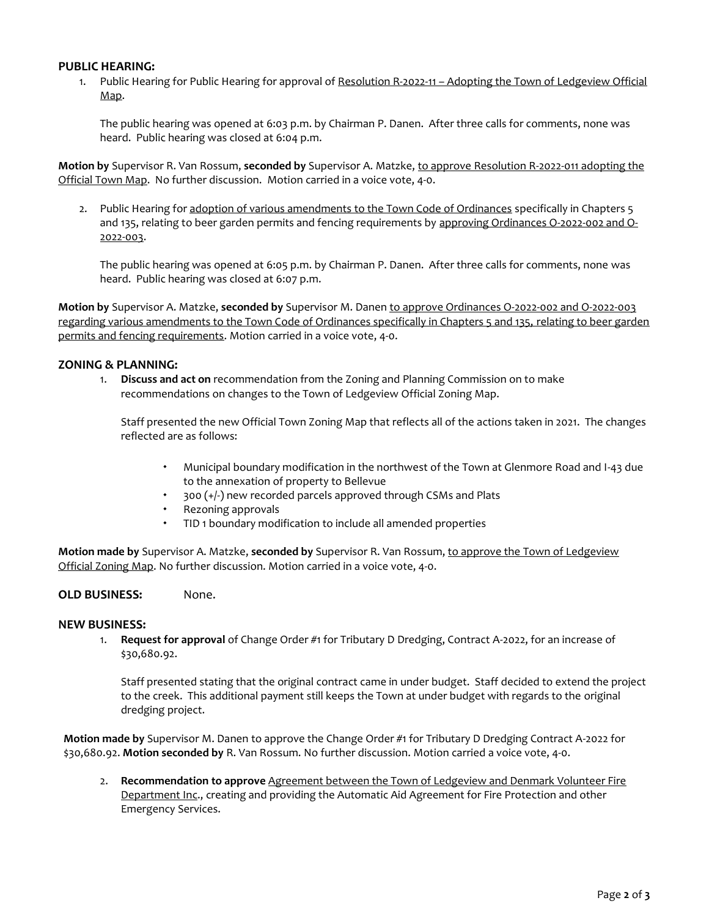# **PUBLIC HEARING:**

1. Public Hearing for Public Hearing for approval of Resolution R-2022-11 - Adopting the Town of Ledgeview Official Map.

The public hearing was opened at 6:03 p.m. by Chairman P. Danen. After three calls for comments, none was heard. Public hearing was closed at 6:04 p.m.

**Motion by** Supervisor R. Van Rossum, **seconded by** Supervisor A. Matzke, to approve Resolution R-2022-011 adopting the Official Town Map. No further discussion. Motion carried in a voice vote, 4-0.

2. Public Hearing for adoption of various amendments to the Town Code of Ordinances specifically in Chapters 5 and 135, relating to beer garden permits and fencing requirements by approving Ordinances O-2022-002 and O-2022-003.

The public hearing was opened at 6:05 p.m. by Chairman P. Danen. After three calls for comments, none was heard. Public hearing was closed at 6:07 p.m.

**Motion by** Supervisor A. Matzke, **seconded by** Supervisor M. Danen to approve Ordinances O-2022-002 and O-2022-003 regarding various amendments to the Town Code of Ordinances specifically in Chapters 5 and 135, relating to beer garden permits and fencing requirements. Motion carried in a voice vote, 4-0.

### **ZONING & PLANNING:**

1. **Discuss and act on** recommendation from the Zoning and Planning Commission on to make recommendations on changes to the Town of Ledgeview Official Zoning Map.

Staff presented the new Official Town Zoning Map that reflects all of the actions taken in 2021. The changes reflected are as follows:

- Municipal boundary modification in the northwest of the Town at Glenmore Road and I-43 due to the annexation of property to Bellevue
- 300 (+/-) new recorded parcels approved through CSMs and Plats
- Rezoning approvals
- TID 1 boundary modification to include all amended properties

**Motion made by** Supervisor A. Matzke, **seconded by** Supervisor R. Van Rossum, to approve the Town of Ledgeview Official Zoning Map. No further discussion. Motion carried in a voice vote, 4-0.

# **OLD BUSINESS:** None.

### **NEW BUSINESS:**

1. **Request for approval** of Change Order #1 for Tributary D Dredging, Contract A-2022, for an increase of \$30,680.92.

Staff presented stating that the original contract came in under budget. Staff decided to extend the project to the creek. This additional payment still keeps the Town at under budget with regards to the original dredging project.

**Motion made by** Supervisor M. Danen to approve the Change Order #1 for Tributary D Dredging Contract A-2022 for \$30,680.92. **Motion seconded by** R. Van Rossum. No further discussion. Motion carried a voice vote, 4-0.

2. **Recommendation to approve** Agreement between the Town of Ledgeview and Denmark Volunteer Fire Department Inc., creating and providing the Automatic Aid Agreement for Fire Protection and other Emergency Services.